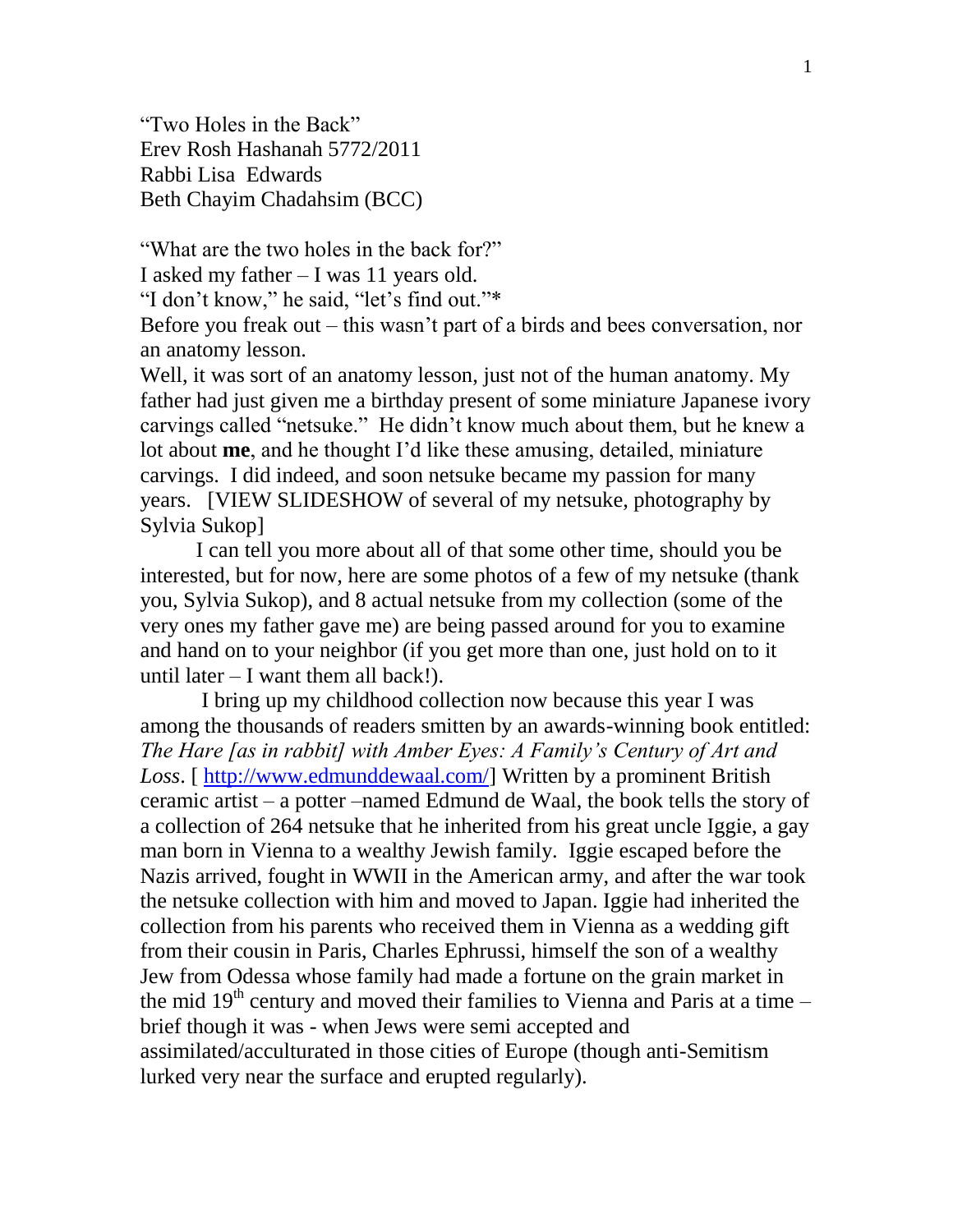"Two Holes in the Back" Erev Rosh Hashanah 5772/2011 Rabbi Lisa Edwards Beth Chayim Chadahsim (BCC)

"What are the two holes in the back for?" I asked my father – I was 11 years old.

"I don't know," he said, "let's find out."\*

Before you freak out – this wasn't part of a birds and bees conversation, nor an anatomy lesson.

Well, it was sort of an anatomy lesson, just not of the human anatomy. My father had just given me a birthday present of some miniature Japanese ivory carvings called "netsuke." He didn't know much about them, but he knew a lot about **me**, and he thought I'd like these amusing, detailed, miniature carvings. I did indeed, and soon netsuke became my passion for many years. [VIEW SLIDESHOW of several of my netsuke, photography by Sylvia Sukop]

I can tell you more about all of that some other time, should you be interested, but for now, here are some photos of a few of my netsuke (thank you, Sylvia Sukop), and 8 actual netsuke from my collection (some of the very ones my father gave me) are being passed around for you to examine and hand on to your neighbor (if you get more than one, just hold on to it until later  $-$  I want them all back!).

I bring up my childhood collection now because this year I was among the thousands of readers smitten by an awards-winning book entitled: *The Hare [as in rabbit] with Amber Eyes: A Family's Century of Art and Loss*. [ [http://www.edmunddewaal.com/\]](http://www.edmunddewaal.com/) Written by a prominent British ceramic artist – a potter –named Edmund de Waal, the book tells the story of a collection of 264 netsuke that he inherited from his great uncle Iggie, a gay man born in Vienna to a wealthy Jewish family. Iggie escaped before the Nazis arrived, fought in WWII in the American army, and after the war took the netsuke collection with him and moved to Japan. Iggie had inherited the collection from his parents who received them in Vienna as a wedding gift from their cousin in Paris, Charles Ephrussi, himself the son of a wealthy Jew from Odessa whose family had made a fortune on the grain market in the mid  $19<sup>th</sup>$  century and moved their families to Vienna and Paris at a time – brief though it was - when Jews were semi accepted and assimilated/acculturated in those cities of Europe (though anti-Semitism lurked very near the surface and erupted regularly).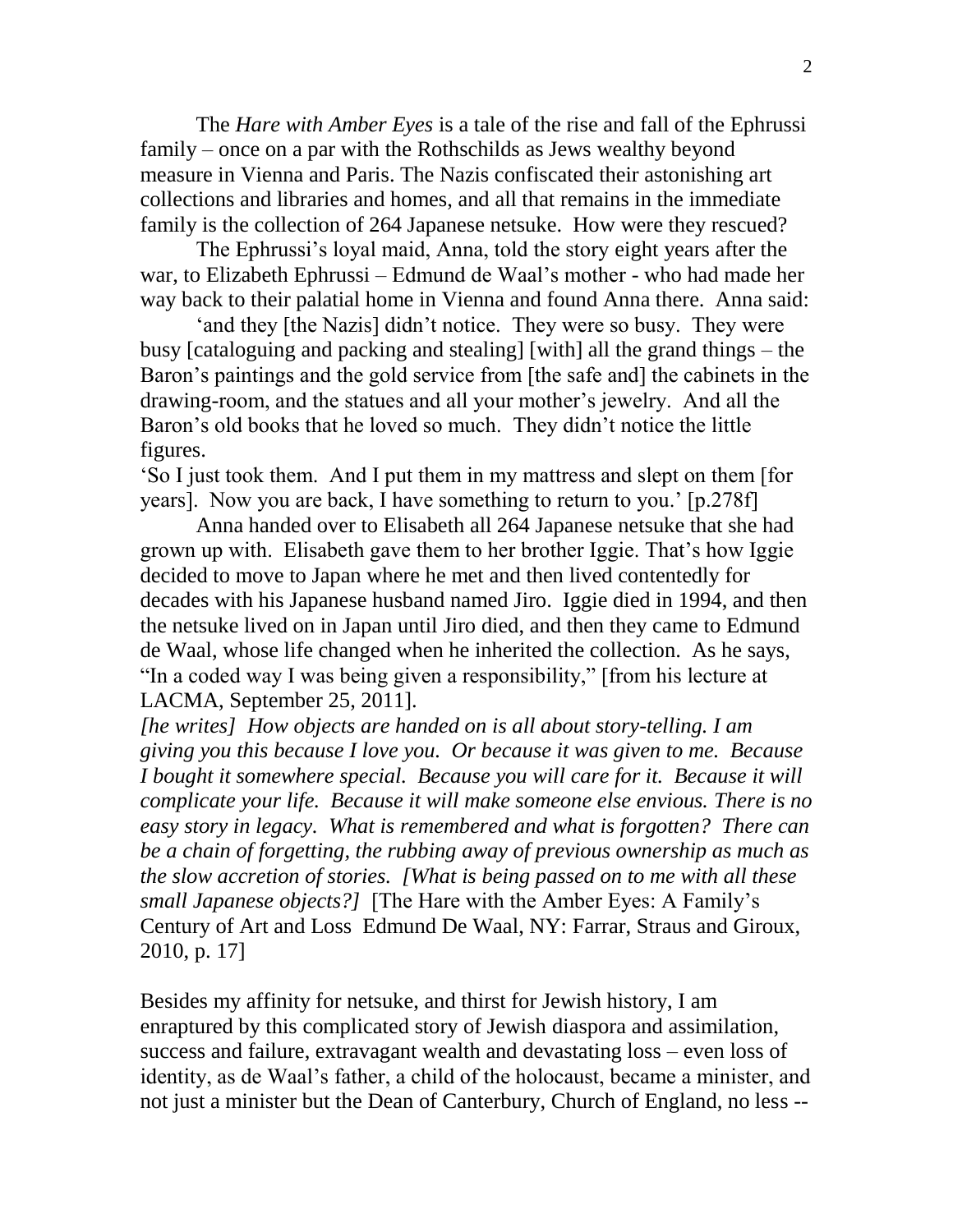The *Hare with Amber Eyes* is a tale of the rise and fall of the Ephrussi family – once on a par with the Rothschilds as Jews wealthy beyond measure in Vienna and Paris. The Nazis confiscated their astonishing art collections and libraries and homes, and all that remains in the immediate family is the collection of 264 Japanese netsuke. How were they rescued?

The Ephrussi's loyal maid, Anna, told the story eight years after the war, to Elizabeth Ephrussi – Edmund de Waal's mother - who had made her way back to their palatial home in Vienna and found Anna there. Anna said:

'and they [the Nazis] didn't notice. They were so busy. They were busy [cataloguing and packing and stealing] [with] all the grand things – the Baron's paintings and the gold service from [the safe and] the cabinets in the drawing-room, and the statues and all your mother's jewelry. And all the Baron's old books that he loved so much. They didn't notice the little figures.

'So I just took them. And I put them in my mattress and slept on them [for years]. Now you are back, I have something to return to you.' [p.278f]

Anna handed over to Elisabeth all 264 Japanese netsuke that she had grown up with. Elisabeth gave them to her brother Iggie. That's how Iggie decided to move to Japan where he met and then lived contentedly for decades with his Japanese husband named Jiro. Iggie died in 1994, and then the netsuke lived on in Japan until Jiro died, and then they came to Edmund de Waal, whose life changed when he inherited the collection. As he says, "In a coded way I was being given a responsibility," [from his lecture at LACMA, September 25, 2011].

*[he writes] How objects are handed on is all about story-telling. I am giving you this because I love you. Or because it was given to me. Because I bought it somewhere special. Because you will care for it. Because it will complicate your life. Because it will make someone else envious. There is no easy story in legacy. What is remembered and what is forgotten? There can be a chain of forgetting, the rubbing away of previous ownership as much as the slow accretion of stories. [What is being passed on to me with all these small Japanese objects?]* [The Hare with the Amber Eyes: A Family's Century of Art and Loss Edmund De Waal, NY: Farrar, Straus and Giroux, 2010, p. 17]

Besides my affinity for netsuke, and thirst for Jewish history, I am enraptured by this complicated story of Jewish diaspora and assimilation, success and failure, extravagant wealth and devastating loss – even loss of identity, as de Waal's father, a child of the holocaust, became a minister, and not just a minister but the Dean of Canterbury, Church of England, no less --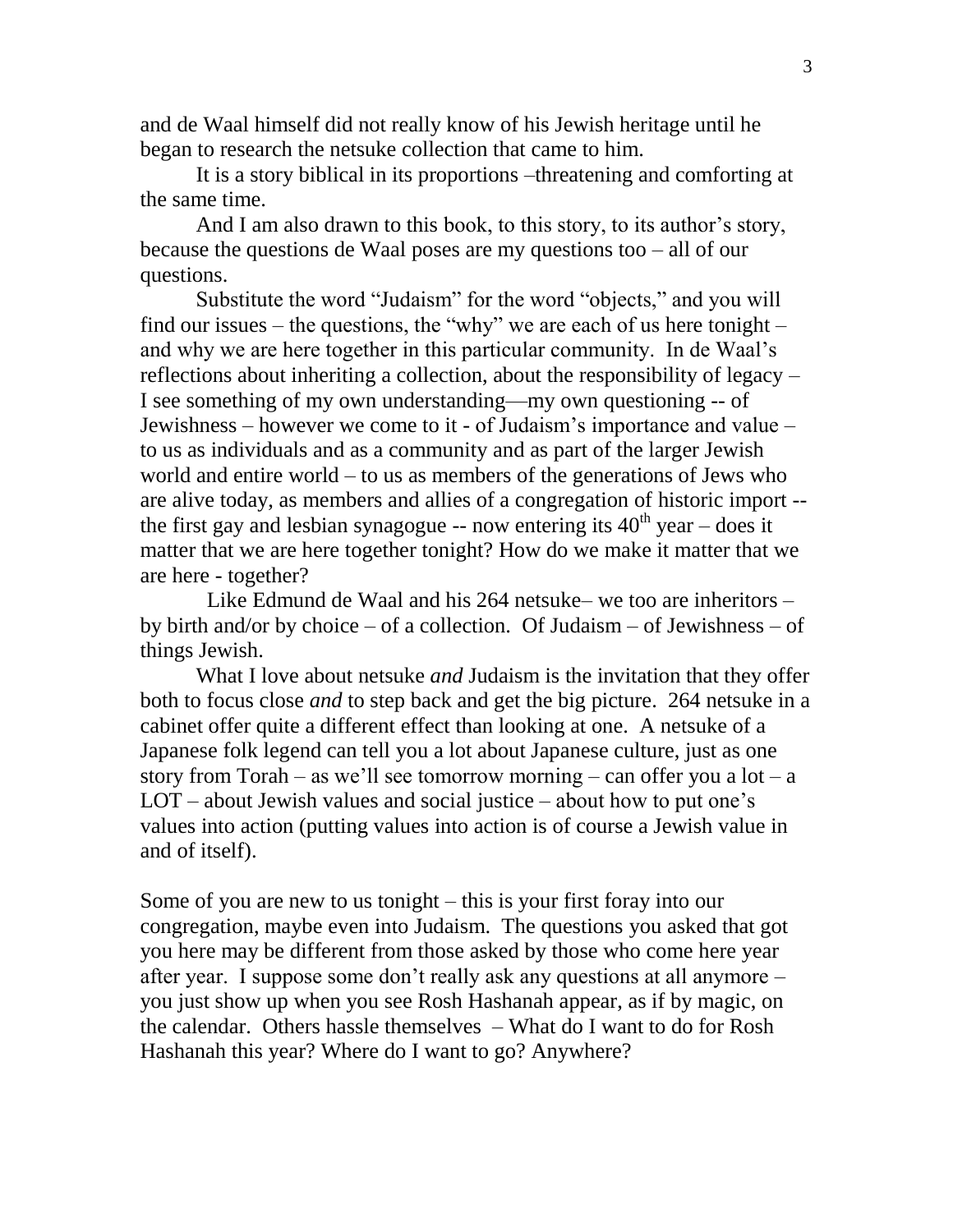and de Waal himself did not really know of his Jewish heritage until he began to research the netsuke collection that came to him.

It is a story biblical in its proportions –threatening and comforting at the same time.

And I am also drawn to this book, to this story, to its author's story, because the questions de Waal poses are my questions too – all of our questions.

Substitute the word "Judaism" for the word "objects," and you will find our issues – the questions, the "why" we are each of us here tonight – and why we are here together in this particular community. In de Waal's reflections about inheriting a collection, about the responsibility of legacy – I see something of my own understanding—my own questioning -- of Jewishness – however we come to it - of Judaism's importance and value – to us as individuals and as a community and as part of the larger Jewish world and entire world – to us as members of the generations of Jews who are alive today, as members and allies of a congregation of historic import - the first gay and lesbian synagogue -- now entering its  $40<sup>th</sup>$  year – does it matter that we are here together tonight? How do we make it matter that we are here - together?

 Like Edmund de Waal and his 264 netsuke– we too are inheritors – by birth and/or by choice – of a collection. Of Judaism – of Jewishness – of things Jewish.

What I love about netsuke *and* Judaism is the invitation that they offer both to focus close *and* to step back and get the big picture. 264 netsuke in a cabinet offer quite a different effect than looking at one. A netsuke of a Japanese folk legend can tell you a lot about Japanese culture, just as one story from Torah – as we'll see tomorrow morning – can offer you a  $\text{lot} - \text{a}$ LOT – about Jewish values and social justice – about how to put one's values into action (putting values into action is of course a Jewish value in and of itself).

Some of you are new to us tonight – this is your first foray into our congregation, maybe even into Judaism. The questions you asked that got you here may be different from those asked by those who come here year after year. I suppose some don't really ask any questions at all anymore – you just show up when you see Rosh Hashanah appear, as if by magic, on the calendar. Others hassle themselves – What do I want to do for Rosh Hashanah this year? Where do I want to go? Anywhere?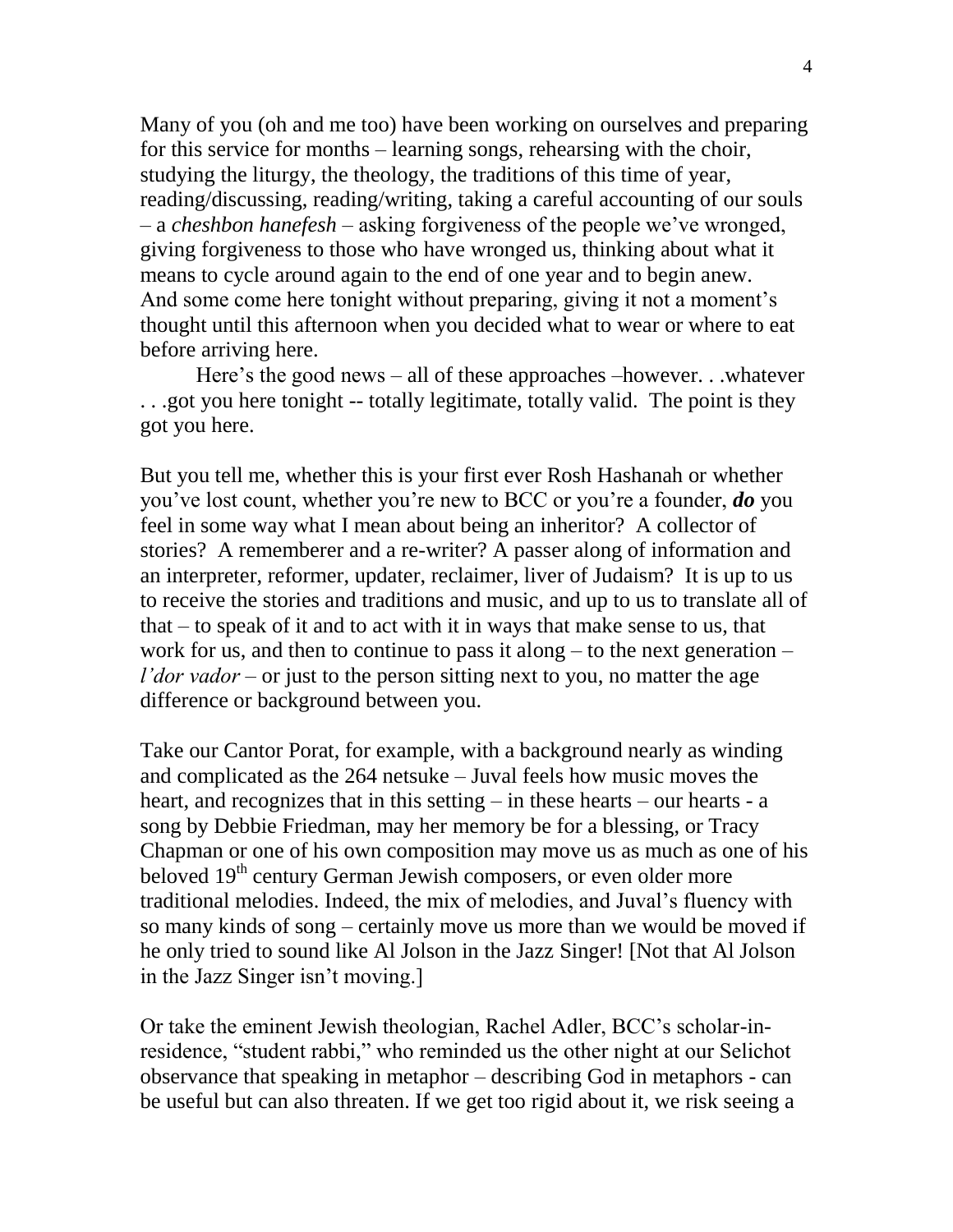Many of you (oh and me too) have been working on ourselves and preparing for this service for months – learning songs, rehearsing with the choir, studying the liturgy, the theology, the traditions of this time of year, reading/discussing, reading/writing, taking a careful accounting of our souls – a *cheshbon hanefesh* – asking forgiveness of the people we've wronged, giving forgiveness to those who have wronged us, thinking about what it means to cycle around again to the end of one year and to begin anew. And some come here tonight without preparing, giving it not a moment's thought until this afternoon when you decided what to wear or where to eat before arriving here.

Here's the good news – all of these approaches –however. . .whatever . . .got you here tonight -- totally legitimate, totally valid. The point is they got you here.

But you tell me, whether this is your first ever Rosh Hashanah or whether you've lost count, whether you're new to BCC or you're a founder, *do* you feel in some way what I mean about being an inheritor? A collector of stories? A rememberer and a re-writer? A passer along of information and an interpreter, reformer, updater, reclaimer, liver of Judaism? It is up to us to receive the stories and traditions and music, and up to us to translate all of that – to speak of it and to act with it in ways that make sense to us, that work for us, and then to continue to pass it along – to the next generation – *l'dor vador* – or just to the person sitting next to you, no matter the age difference or background between you.

Take our Cantor Porat, for example, with a background nearly as winding and complicated as the 264 netsuke – Juval feels how music moves the heart, and recognizes that in this setting – in these hearts – our hearts - a song by Debbie Friedman, may her memory be for a blessing, or Tracy Chapman or one of his own composition may move us as much as one of his beloved 19<sup>th</sup> century German Jewish composers, or even older more traditional melodies. Indeed, the mix of melodies, and Juval's fluency with so many kinds of song – certainly move us more than we would be moved if he only tried to sound like Al Jolson in the Jazz Singer! [Not that Al Jolson in the Jazz Singer isn't moving.]

Or take the eminent Jewish theologian, Rachel Adler, BCC's scholar-inresidence, "student rabbi," who reminded us the other night at our Selichot observance that speaking in metaphor – describing God in metaphors - can be useful but can also threaten. If we get too rigid about it, we risk seeing a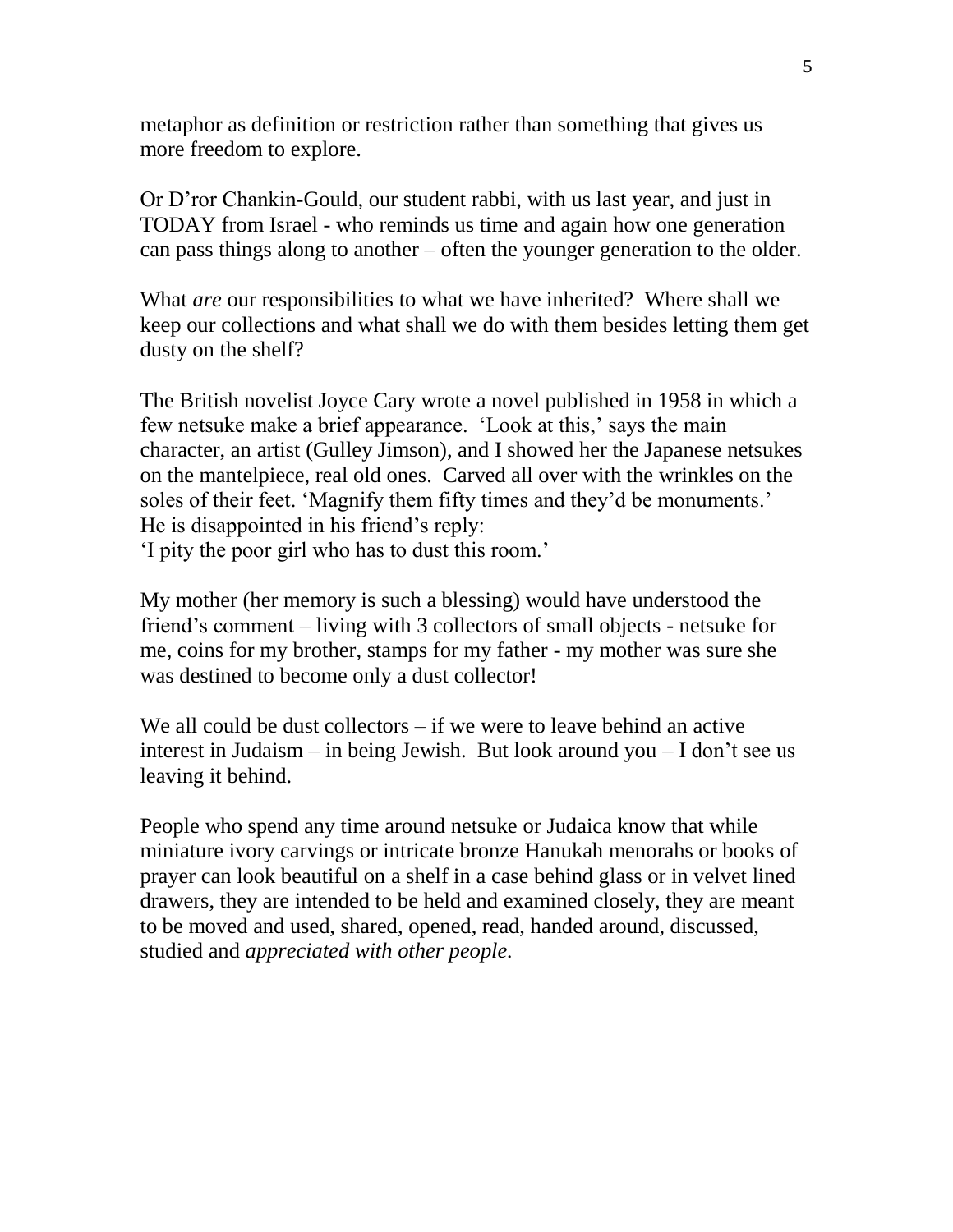metaphor as definition or restriction rather than something that gives us more freedom to explore.

Or D'ror Chankin-Gould, our student rabbi, with us last year, and just in TODAY from Israel - who reminds us time and again how one generation can pass things along to another – often the younger generation to the older.

What *are* our responsibilities to what we have inherited? Where shall we keep our collections and what shall we do with them besides letting them get dusty on the shelf?

The British novelist Joyce Cary wrote a novel published in 1958 in which a few netsuke make a brief appearance. 'Look at this,' says the main character, an artist (Gulley Jimson), and I showed her the Japanese netsukes on the mantelpiece, real old ones. Carved all over with the wrinkles on the soles of their feet. 'Magnify them fifty times and they'd be monuments.' He is disappointed in his friend's reply:

'I pity the poor girl who has to dust this room.'

My mother (her memory is such a blessing) would have understood the friend's comment – living with 3 collectors of small objects - netsuke for me, coins for my brother, stamps for my father - my mother was sure she was destined to become only a dust collector!

We all could be dust collectors – if we were to leave behind an active interest in Judaism – in being Jewish. But look around you – I don't see us leaving it behind.

People who spend any time around netsuke or Judaica know that while miniature ivory carvings or intricate bronze Hanukah menorahs or books of prayer can look beautiful on a shelf in a case behind glass or in velvet lined drawers, they are intended to be held and examined closely, they are meant to be moved and used, shared, opened, read, handed around, discussed, studied and *appreciated with other people.*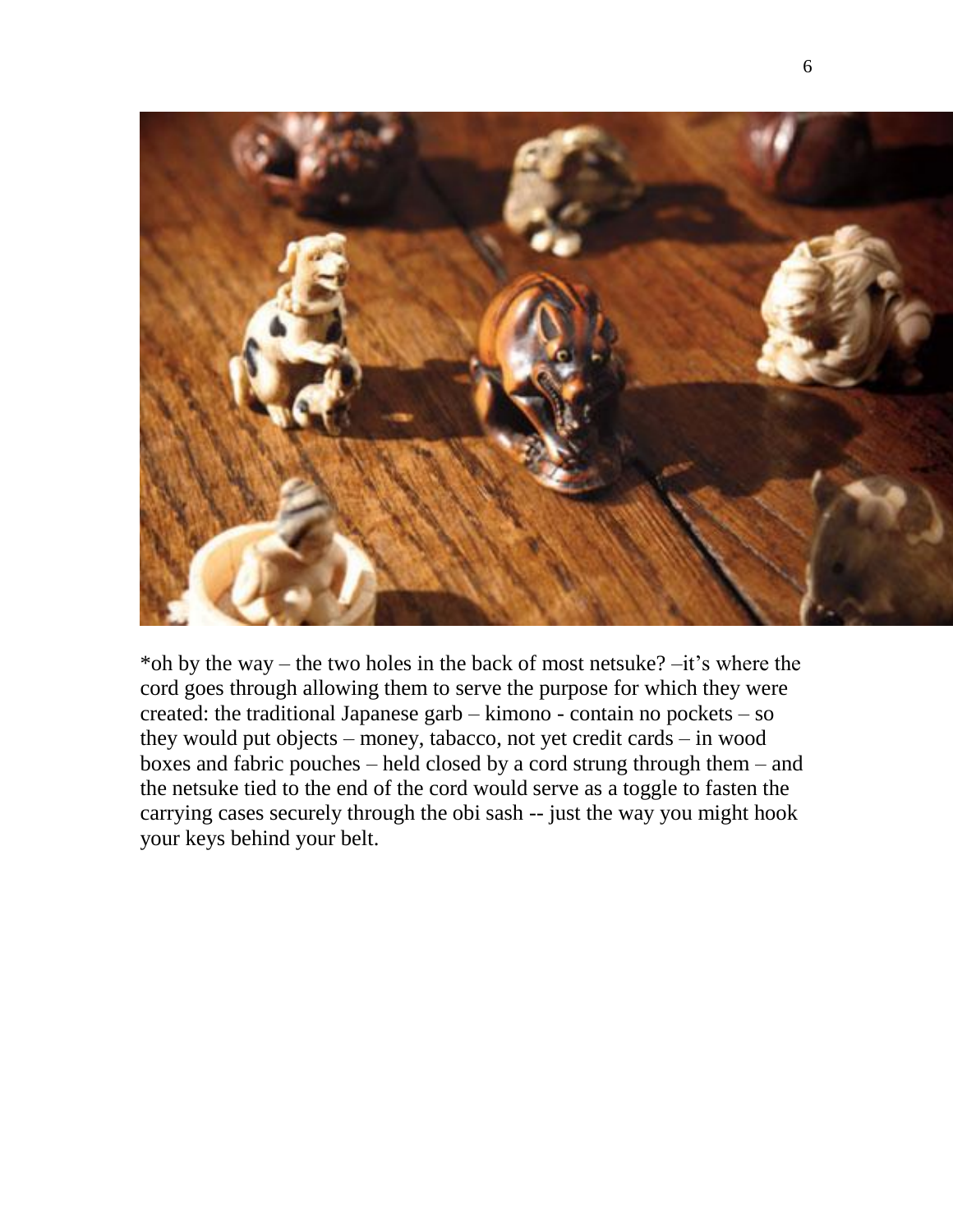

\*oh by the way – the two holes in the back of most netsuke? –it's where the cord goes through allowing them to serve the purpose for which they were created: the traditional Japanese garb – kimono - contain no pockets – so they would put objects – money, tabacco, not yet credit cards – in wood boxes and fabric pouches – held closed by a cord strung through them – and the netsuke tied to the end of the cord would serve as a toggle to fasten the carrying cases securely through the obi sash -- just the way you might hook your keys behind your belt.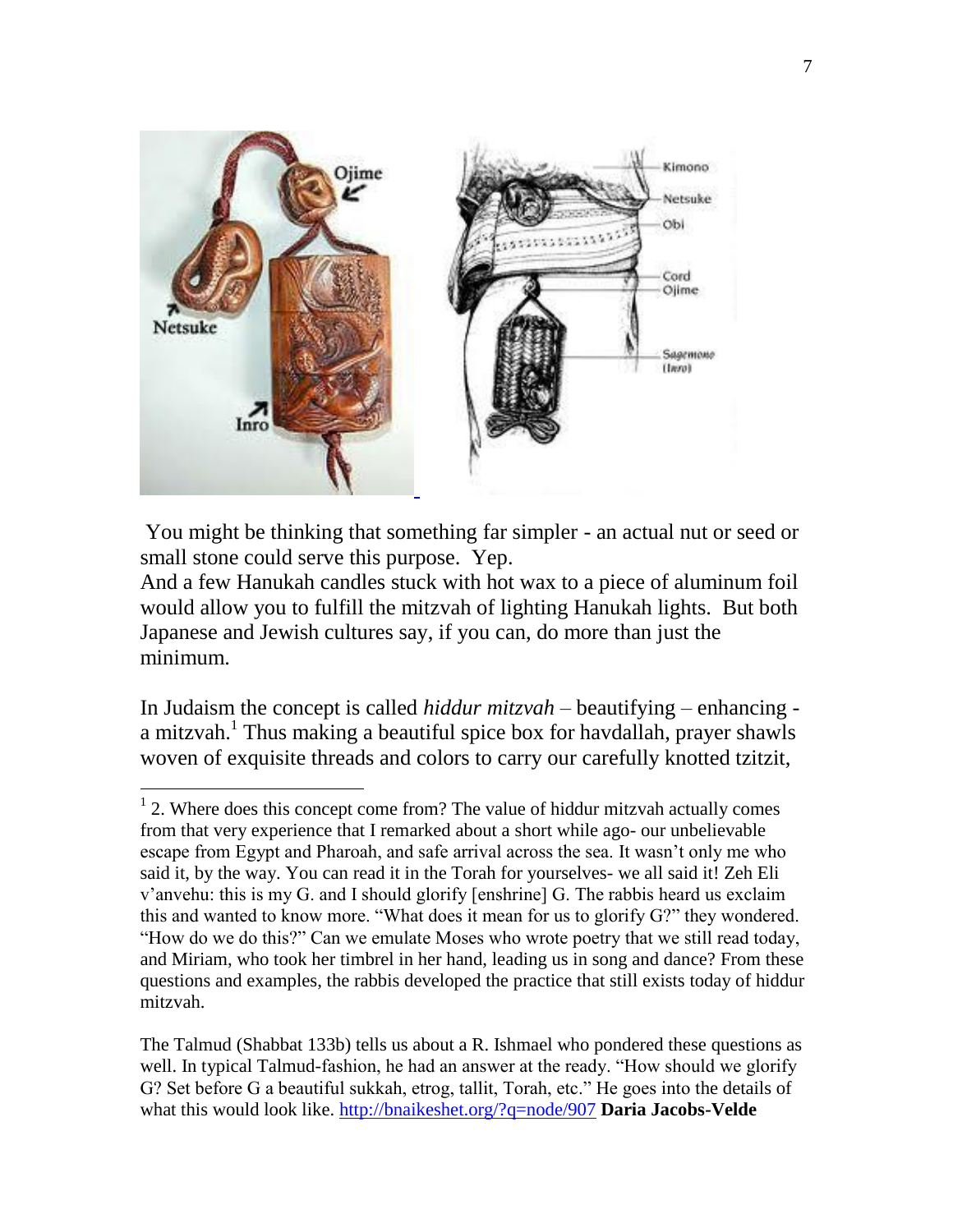

You might be thinking that something far simpler - an actual nut or seed or small stone could serve this purpose. Yep.

And a few Hanukah candles stuck with hot wax to a piece of aluminum foil would allow you to fulfill the mitzvah of lighting Hanukah lights. But both Japanese and Jewish cultures say, if you can, do more than just the minimum.

In Judaism the concept is called *hiddur mitzvah* – beautifying – enhancing a mitzvah.<sup>1</sup> Thus making a beautiful spice box for havdallah, prayer shawls woven of exquisite threads and colors to carry our carefully knotted tzitzit,

<sup>&</sup>lt;sup>1</sup> 2. Where does this concept come from? The value of hiddur mitzvah actually comes from that very experience that I remarked about a short while ago- our unbelievable escape from Egypt and Pharoah, and safe arrival across the sea. It wasn't only me who said it, by the way. You can read it in the Torah for yourselves- we all said it! Zeh Eli v'anvehu: this is my G. and I should glorify [enshrine] G. The rabbis heard us exclaim this and wanted to know more. "What does it mean for us to glorify G?" they wondered. "How do we do this?" Can we emulate Moses who wrote poetry that we still read today, and Miriam, who took her timbrel in her hand, leading us in song and dance? From these questions and examples, the rabbis developed the practice that still exists today of hiddur mitzvah.

The Talmud (Shabbat 133b) tells us about a R. Ishmael who pondered these questions as well. In typical Talmud-fashion, he had an answer at the ready. "How should we glorify G? Set before G a beautiful sukkah, etrog, tallit, Torah, etc." He goes into the details of what this would look like.<http://bnaikeshet.org/?q=node/907> **Daria Jacobs-Velde**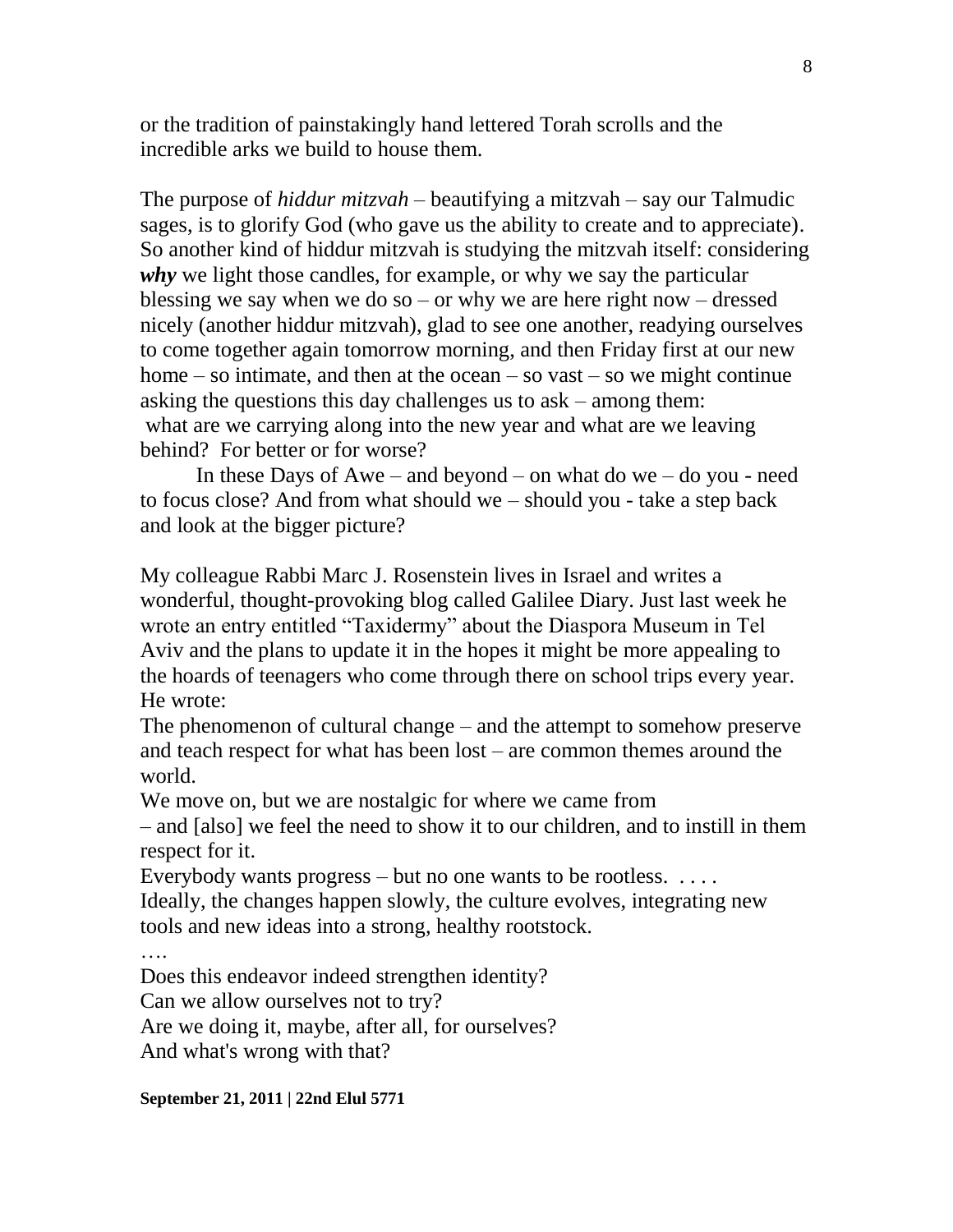or the tradition of painstakingly hand lettered Torah scrolls and the incredible arks we build to house them.

The purpose of *hiddur mitzvah* – beautifying a mitzvah – say our Talmudic sages, is to glorify God (who gave us the ability to create and to appreciate). So another kind of hiddur mitzvah is studying the mitzvah itself: considering *why* we light those candles, for example, or why we say the particular blessing we say when we do so – or why we are here right now – dressed nicely (another hiddur mitzvah), glad to see one another, readying ourselves to come together again tomorrow morning, and then Friday first at our new home  $-$  so intimate, and then at the ocean  $-$  so vast  $-$  so we might continue asking the questions this day challenges us to ask – among them: what are we carrying along into the new year and what are we leaving behind? For better or for worse?

In these Days of Awe – and beyond – on what do we – do you - need to focus close? And from what should we – should you - take a step back and look at the bigger picture?

My colleague Rabbi Marc J. Rosenstein lives in Israel and writes a wonderful, thought-provoking blog called Galilee Diary. Just last week he wrote an entry entitled "Taxidermy" about the Diaspora Museum in Tel Aviv and the plans to update it in the hopes it might be more appealing to the hoards of teenagers who come through there on school trips every year. He wrote:

The phenomenon of cultural change – and the attempt to somehow preserve and teach respect for what has been lost – are common themes around the world.

We move on, but we are nostalgic for where we came from

– and [also] we feel the need to show it to our children, and to instill in them respect for it.

Everybody wants progress  $-$  but no one wants to be rootless.  $\dots$ . Ideally, the changes happen slowly, the culture evolves, integrating new tools and new ideas into a strong, healthy rootstock.

Does this endeavor indeed strengthen identity?

Can we allow ourselves not to try?

Are we doing it, maybe, after all, for ourselves?

And what's wrong with that?

## **September 21, 2011 | 22nd Elul 5771**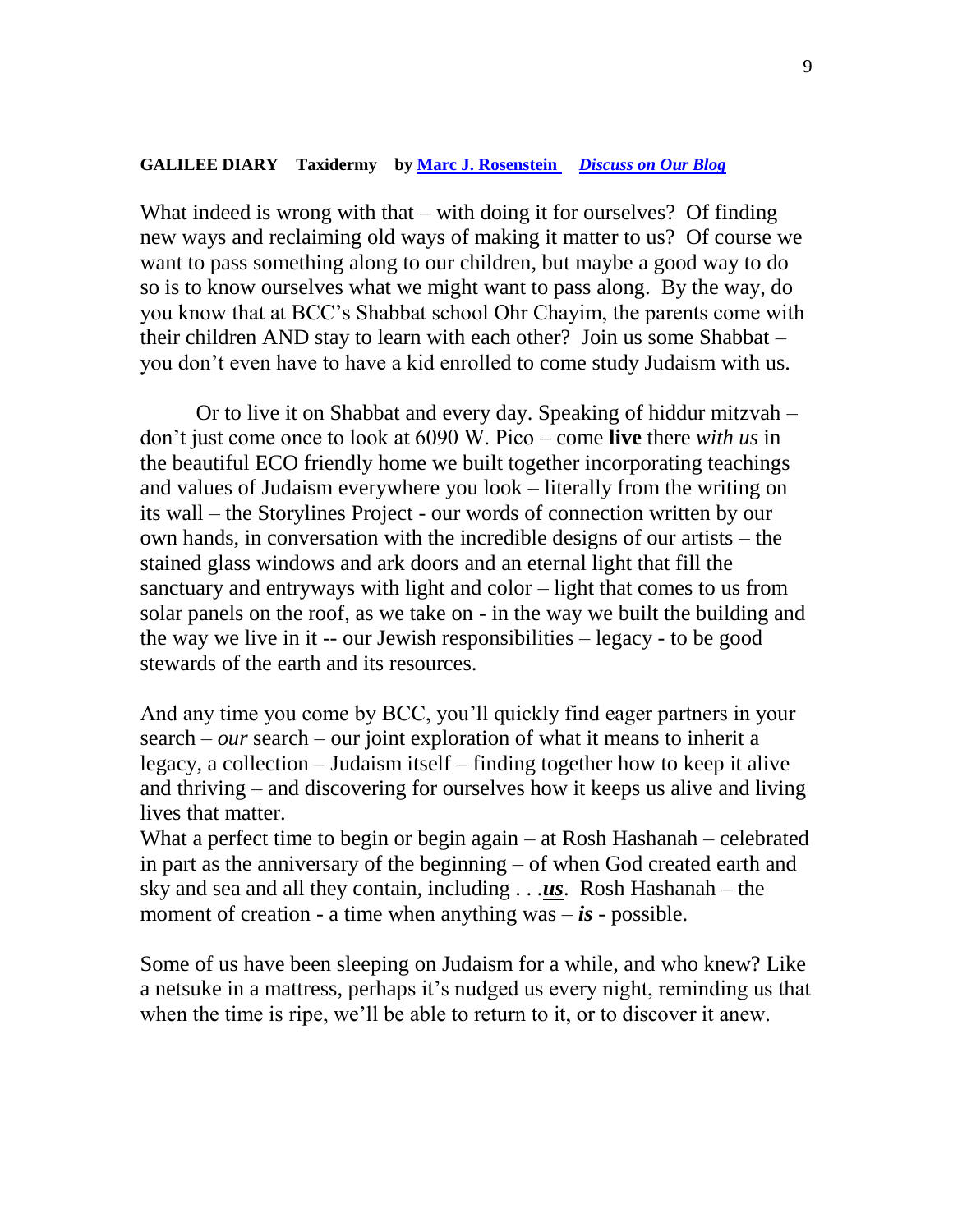## **GALILEE DIARY Taxidermy by [Marc J. Rosenstein](mailto:hmakom@netvision.net.il)** *[Discuss on Our Blog](http://blogs.rj.org/reform/2011/09/galilee-diary-taxidermy.html)*

What indeed is wrong with that – with doing it for ourselves? Of finding new ways and reclaiming old ways of making it matter to us? Of course we want to pass something along to our children, but maybe a good way to do so is to know ourselves what we might want to pass along. By the way, do you know that at BCC's Shabbat school Ohr Chayim, the parents come with their children AND stay to learn with each other? Join us some Shabbat – you don't even have to have a kid enrolled to come study Judaism with us.

Or to live it on Shabbat and every day. Speaking of hiddur mitzvah – don't just come once to look at 6090 W. Pico – come **live** there *with us* in the beautiful ECO friendly home we built together incorporating teachings and values of Judaism everywhere you look – literally from the writing on its wall – the Storylines Project - our words of connection written by our own hands, in conversation with the incredible designs of our artists – the stained glass windows and ark doors and an eternal light that fill the sanctuary and entryways with light and color – light that comes to us from solar panels on the roof, as we take on - in the way we built the building and the way we live in it -- our Jewish responsibilities – legacy - to be good stewards of the earth and its resources.

And any time you come by BCC, you'll quickly find eager partners in your search – *our* search – our joint exploration of what it means to inherit a legacy, a collection – Judaism itself – finding together how to keep it alive and thriving – and discovering for ourselves how it keeps us alive and living lives that matter.

What a perfect time to begin or begin again – at Rosh Hashanah – celebrated in part as the anniversary of the beginning – of when God created earth and sky and sea and all they contain, including . . .*us*. Rosh Hashanah – the moment of creation - a time when anything was  $-$  *is* - possible.

Some of us have been sleeping on Judaism for a while, and who knew? Like a netsuke in a mattress, perhaps it's nudged us every night, reminding us that when the time is ripe, we'll be able to return to it, or to discover it anew.